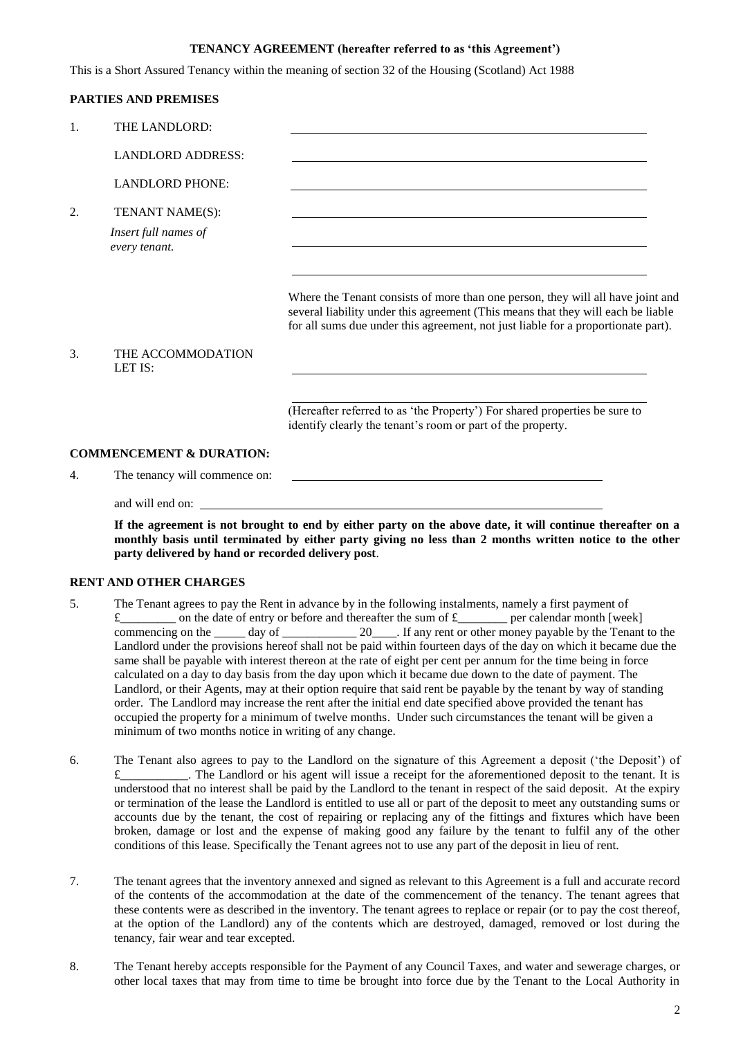## **TENANCY AGREEMENT (hereafter referred to as 'this Agreement')**

This is a Short Assured Tenancy within the meaning of section 32 of the Housing (Scotland) Act 1988

|               | <b>PARTIES AND PREMISES</b>           |                                                                                                                                                                                                                                                                                                                                                                                                       |
|---------------|---------------------------------------|-------------------------------------------------------------------------------------------------------------------------------------------------------------------------------------------------------------------------------------------------------------------------------------------------------------------------------------------------------------------------------------------------------|
| 1.            | THE LANDLORD:                         |                                                                                                                                                                                                                                                                                                                                                                                                       |
|               | <b>LANDLORD ADDRESS:</b>              |                                                                                                                                                                                                                                                                                                                                                                                                       |
|               | <b>LANDLORD PHONE:</b>                |                                                                                                                                                                                                                                                                                                                                                                                                       |
| 2.            | TENANT NAME(S):                       |                                                                                                                                                                                                                                                                                                                                                                                                       |
|               | Insert full names of<br>every tenant. |                                                                                                                                                                                                                                                                                                                                                                                                       |
| $\mathcal{F}$ | THE ACCOMMODATION<br>LET IS:          | Where the Tenant consists of more than one person, they will all have joint and<br>several liability under this agreement (This means that they will each be liable<br>for all sums due under this agreement, not just liable for a proportionate part).<br>(Hereafter referred to as 'the Property') For shared properties be sure to<br>identify clearly the tenant's room or part of the property. |
|               | <b>COMMENCEMENT &amp; DURATION:</b>   |                                                                                                                                                                                                                                                                                                                                                                                                       |
| 4.            | The tenancy will commence on:         |                                                                                                                                                                                                                                                                                                                                                                                                       |
|               |                                       |                                                                                                                                                                                                                                                                                                                                                                                                       |

**If the agreement is not brought to end by either party on the above date, it will continue thereafter on a monthly basis until terminated by either party giving no less than 2 months written notice to the other party delivered by hand or recorded delivery post**.

### **RENT AND OTHER CHARGES**

- 5. The Tenant agrees to pay the Rent in advance by in the following instalments, namely a first payment of  $f_{\text{r}}$  on the date of entry or before and thereafter the sum of  $f_{\text{r}}$  per calendar month [week] commencing on the \_\_\_\_\_\_ day of \_\_\_\_\_\_\_\_\_\_\_\_\_\_\_\_\_\_\_\_\_\_\_\_\_. If any rent or other money payable by the Tenant to the Landlord under the provisions hereof shall not be paid within fourteen days of the day on which it became due the same shall be payable with interest thereon at the rate of eight per cent per annum for the time being in force calculated on a day to day basis from the day upon which it became due down to the date of payment. The Landlord, or their Agents, may at their option require that said rent be payable by the tenant by way of standing order. The Landlord may increase the rent after the initial end date specified above provided the tenant has occupied the property for a minimum of twelve months. Under such circumstances the tenant will be given a minimum of two months notice in writing of any change.
- 6. The Tenant also agrees to pay to the Landlord on the signature of this Agreement a deposit (‗the Deposit') of £\_\_\_\_\_\_\_\_\_\_\_. The Landlord or his agent will issue a receipt for the aforementioned deposit to the tenant. It is understood that no interest shall be paid by the Landlord to the tenant in respect of the said deposit. At the expiry or termination of the lease the Landlord is entitled to use all or part of the deposit to meet any outstanding sums or accounts due by the tenant, the cost of repairing or replacing any of the fittings and fixtures which have been broken, damage or lost and the expense of making good any failure by the tenant to fulfil any of the other conditions of this lease. Specifically the Tenant agrees not to use any part of the deposit in lieu of rent.
- 7. The tenant agrees that the inventory annexed and signed as relevant to this Agreement is a full and accurate record of the contents of the accommodation at the date of the commencement of the tenancy. The tenant agrees that these contents were as described in the inventory. The tenant agrees to replace or repair (or to pay the cost thereof, at the option of the Landlord) any of the contents which are destroyed, damaged, removed or lost during the tenancy, fair wear and tear excepted.
- 8. The Tenant hereby accepts responsible for the Payment of any Council Taxes, and water and sewerage charges, or other local taxes that may from time to time be brought into force due by the Tenant to the Local Authority in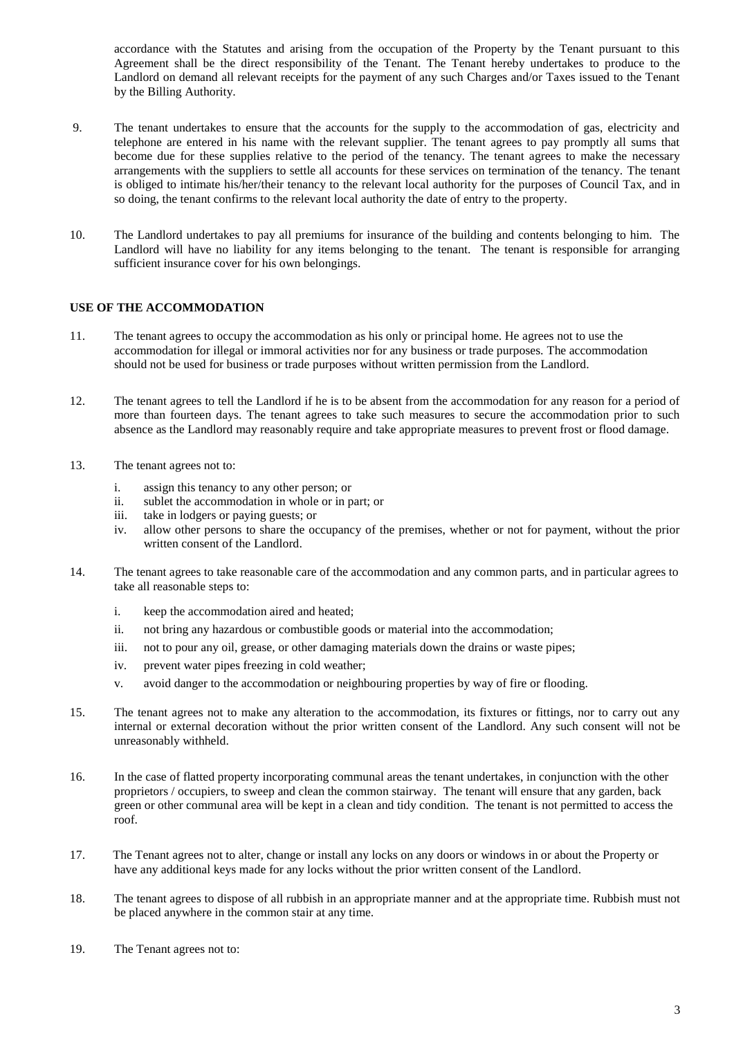accordance with the Statutes and arising from the occupation of the Property by the Tenant pursuant to this Agreement shall be the direct responsibility of the Tenant. The Tenant hereby undertakes to produce to the Landlord on demand all relevant receipts for the payment of any such Charges and/or Taxes issued to the Tenant by the Billing Authority.

- 9. The tenant undertakes to ensure that the accounts for the supply to the accommodation of gas, electricity and telephone are entered in his name with the relevant supplier. The tenant agrees to pay promptly all sums that become due for these supplies relative to the period of the tenancy. The tenant agrees to make the necessary arrangements with the suppliers to settle all accounts for these services on termination of the tenancy. The tenant is obliged to intimate his/her/their tenancy to the relevant local authority for the purposes of Council Tax, and in so doing, the tenant confirms to the relevant local authority the date of entry to the property.
- 10. The Landlord undertakes to pay all premiums for insurance of the building and contents belonging to him. The Landlord will have no liability for any items belonging to the tenant. The tenant is responsible for arranging sufficient insurance cover for his own belongings.

## **USE OF THE ACCOMMODATION**

- 11. The tenant agrees to occupy the accommodation as his only or principal home. He agrees not to use the accommodation for illegal or immoral activities nor for any business or trade purposes. The accommodation should not be used for business or trade purposes without written permission from the Landlord.
- 12. The tenant agrees to tell the Landlord if he is to be absent from the accommodation for any reason for a period of more than fourteen days. The tenant agrees to take such measures to secure the accommodation prior to such absence as the Landlord may reasonably require and take appropriate measures to prevent frost or flood damage.
- 13. The tenant agrees not to:
	- i. assign this tenancy to any other person; or
	- ii. sublet the accommodation in whole or in part; or
	- iii. take in lodgers or paying guests; or
	- iv. allow other persons to share the occupancy of the premises, whether or not for payment, without the prior written consent of the Landlord.
- 14. The tenant agrees to take reasonable care of the accommodation and any common parts, and in particular agrees to take all reasonable steps to:
	- i. keep the accommodation aired and heated;
	- ii. not bring any hazardous or combustible goods or material into the accommodation;
	- iii. not to pour any oil, grease, or other damaging materials down the drains or waste pipes;
	- iv. prevent water pipes freezing in cold weather;
	- v. avoid danger to the accommodation or neighbouring properties by way of fire or flooding.
- 15. The tenant agrees not to make any alteration to the accommodation, its fixtures or fittings, nor to carry out any internal or external decoration without the prior written consent of the Landlord. Any such consent will not be unreasonably withheld.
- 16. In the case of flatted property incorporating communal areas the tenant undertakes, in conjunction with the other proprietors / occupiers, to sweep and clean the common stairway. The tenant will ensure that any garden, back green or other communal area will be kept in a clean and tidy condition. The tenant is not permitted to access the roof.
- 17. The Tenant agrees not to alter, change or install any locks on any doors or windows in or about the Property or have any additional keys made for any locks without the prior written consent of the Landlord.
- 18. The tenant agrees to dispose of all rubbish in an appropriate manner and at the appropriate time. Rubbish must not be placed anywhere in the common stair at any time.
- 19. The Tenant agrees not to: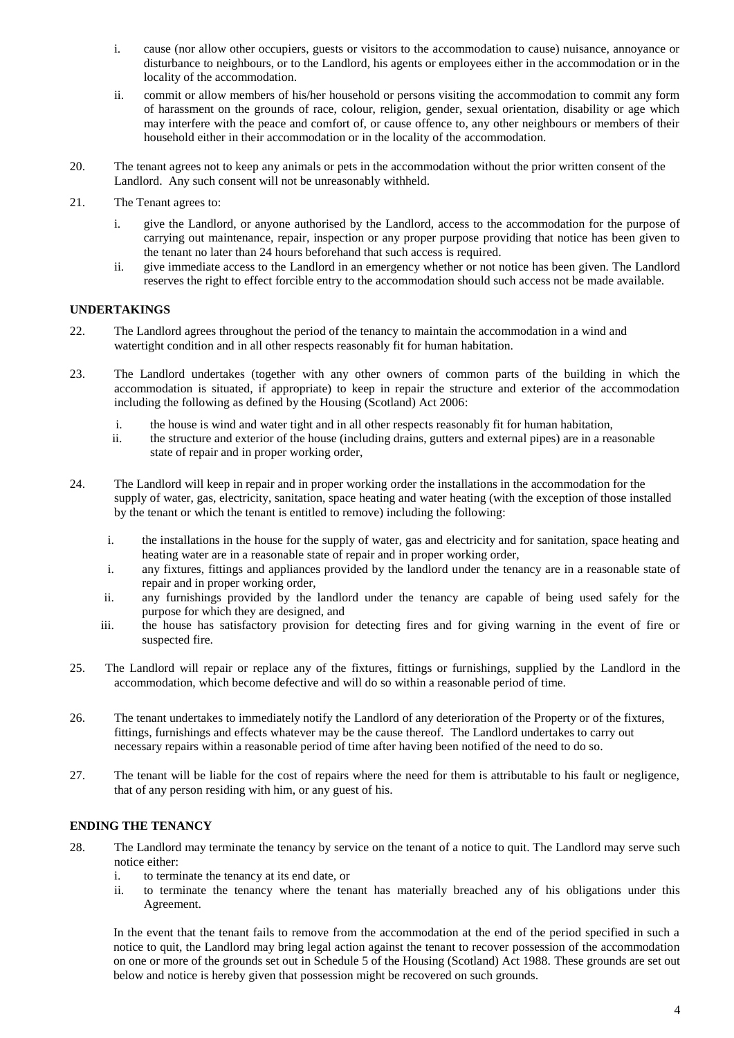- i. cause (nor allow other occupiers, guests or visitors to the accommodation to cause) nuisance, annoyance or disturbance to neighbours, or to the Landlord, his agents or employees either in the accommodation or in the locality of the accommodation.
- ii. commit or allow members of his/her household or persons visiting the accommodation to commit any form of harassment on the grounds of race, colour, religion, gender, sexual orientation, disability or age which may interfere with the peace and comfort of, or cause offence to, any other neighbours or members of their household either in their accommodation or in the locality of the accommodation.
- 20. The tenant agrees not to keep any animals or pets in the accommodation without the prior written consent of the Landlord. Any such consent will not be unreasonably withheld.
- 21. The Tenant agrees to:
	- i. give the Landlord, or anyone authorised by the Landlord, access to the accommodation for the purpose of carrying out maintenance, repair, inspection or any proper purpose providing that notice has been given to the tenant no later than 24 hours beforehand that such access is required.
	- ii. give immediate access to the Landlord in an emergency whether or not notice has been given. The Landlord reserves the right to effect forcible entry to the accommodation should such access not be made available.

# **UNDERTAKINGS**

- 22. The Landlord agrees throughout the period of the tenancy to maintain the accommodation in a wind and watertight condition and in all other respects reasonably fit for human habitation.
- 23. The Landlord undertakes (together with any other owners of common parts of the building in which the accommodation is situated, if appropriate) to keep in repair the structure and exterior of the accommodation including the following as defined by the Housing (Scotland) Act 2006:
	- i. the house is wind and water tight and in all other respects reasonably fit for human habitation,
	- ii. the structure and exterior of the house (including drains, gutters and external pipes) are in a reasonable state of repair and in proper working order,
- 24. The Landlord will keep in repair and in proper working order the installations in the accommodation for the supply of water, gas, electricity, sanitation, space heating and water heating (with the exception of those installed by the tenant or which the tenant is entitled to remove) including the following:
	- i. the installations in the house for the supply of water, gas and electricity and for sanitation, space heating and heating water are in a reasonable state of repair and in proper working order,
	- i. any fixtures, fittings and appliances provided by the landlord under the tenancy are in a reasonable state of repair and in proper working order,
	- ii. any furnishings provided by the landlord under the tenancy are capable of being used safely for the purpose for which they are designed, and
	- iii. the house has satisfactory provision for detecting fires and for giving warning in the event of fire or suspected fire.
- 25. The Landlord will repair or replace any of the fixtures, fittings or furnishings, supplied by the Landlord in the accommodation, which become defective and will do so within a reasonable period of time.
- 26. The tenant undertakes to immediately notify the Landlord of any deterioration of the Property or of the fixtures, fittings, furnishings and effects whatever may be the cause thereof. The Landlord undertakes to carry out necessary repairs within a reasonable period of time after having been notified of the need to do so.
- 27. The tenant will be liable for the cost of repairs where the need for them is attributable to his fault or negligence, that of any person residing with him, or any guest of his.

# **ENDING THE TENANCY**

- 28. The Landlord may terminate the tenancy by service on the tenant of a notice to quit. The Landlord may serve such notice either:
	- i. to terminate the tenancy at its end date, or
	- ii. to terminate the tenancy where the tenant has materially breached any of his obligations under this Agreement.

In the event that the tenant fails to remove from the accommodation at the end of the period specified in such a notice to quit, the Landlord may bring legal action against the tenant to recover possession of the accommodation on one or more of the grounds set out in Schedule 5 of the Housing (Scotland) Act 1988. These grounds are set out below and notice is hereby given that possession might be recovered on such grounds.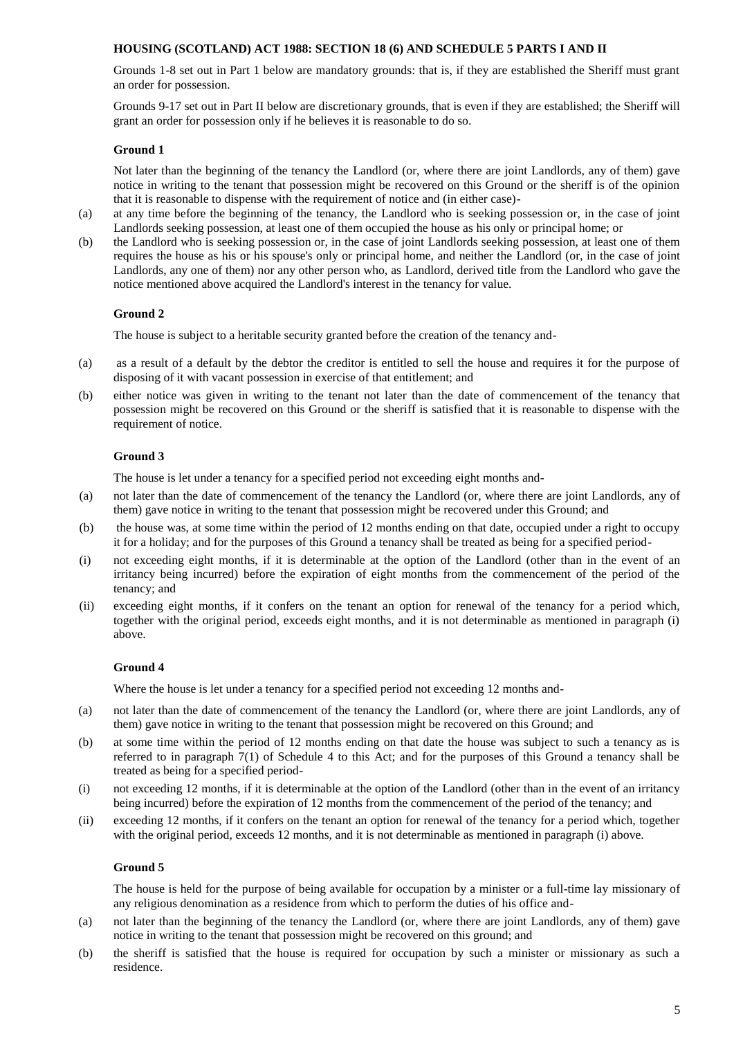### **HOUSING (SCOTLAND) ACT 1988: SECTION 18 (6) AND SCHEDULE 5 PARTS I AND II**

Grounds 1-8 set out in Part 1 below are mandatory grounds: that is, if they are established the Sheriff must grant an order for possession.

Grounds 9-17 set out in Part II below are discretionary grounds, that is even if they are established; the Sheriff will grant an order for possession only if he believes it is reasonable to do so.

### **Ground 1**

Not later than the beginning of the tenancy the Landlord (or, where there are joint Landlords, any of them) gave notice in writing to the tenant that possession might be recovered on this Ground or the sheriff is of the opinion that it is reasonable to dispense with the requirement of notice and (in either case)-

- (a) at any time before the beginning of the tenancy, the Landlord who is seeking possession or, in the case of joint Landlords seeking possession, at least one of them occupied the house as his only or principal home; or
- (b) the Landlord who is seeking possession or, in the case of joint Landlords seeking possession, at least one of them requires the house as his or his spouse's only or principal home, and neither the Landlord (or, in the case of joint Landlords, any one of them) nor any other person who, as Landlord, derived title from the Landlord who gave the notice mentioned above acquired the Landlord's interest in the tenancy for value.

## **Ground 2**

The house is subject to a heritable security granted before the creation of the tenancy and-

- (a) as a result of a default by the debtor the creditor is entitled to sell the house and requires it for the purpose of disposing of it with vacant possession in exercise of that entitlement; and
- (b) either notice was given in writing to the tenant not later than the date of commencement of the tenancy that possession might be recovered on this Ground or the sheriff is satisfied that it is reasonable to dispense with the requirement of notice.

## **Ground 3**

The house is let under a tenancy for a specified period not exceeding eight months and-

- (a) not later than the date of commencement of the tenancy the Landlord (or, where there are joint Landlords, any of them) gave notice in writing to the tenant that possession might be recovered under this Ground; and
- (b) the house was, at some time within the period of 12 months ending on that date, occupied under a right to occupy it for a holiday; and for the purposes of this Ground a tenancy shall be treated as being for a specified period-
- (i) not exceeding eight months, if it is determinable at the option of the Landlord (other than in the event of an irritancy being incurred) before the expiration of eight months from the commencement of the period of the tenancy; and
- (ii) exceeding eight months, if it confers on the tenant an option for renewal of the tenancy for a period which, together with the original period, exceeds eight months, and it is not determinable as mentioned in paragraph (i) above.

# **Ground 4**

Where the house is let under a tenancy for a specified period not exceeding 12 months and-

- (a) not later than the date of commencement of the tenancy the Landlord (or, where there are joint Landlords, any of them) gave notice in writing to the tenant that possession might be recovered on this Ground; and
- (b) at some time within the period of 12 months ending on that date the house was subject to such a tenancy as is referred to in paragraph 7(1) of Schedule 4 to this Act; and for the purposes of this Ground a tenancy shall be treated as being for a specified period-
- (i) not exceeding 12 months, if it is determinable at the option of the Landlord (other than in the event of an irritancy being incurred) before the expiration of 12 months from the commencement of the period of the tenancy; and
- (ii) exceeding 12 months, if it confers on the tenant an option for renewal of the tenancy for a period which, together with the original period, exceeds 12 months, and it is not determinable as mentioned in paragraph (i) above.

### **Ground 5**

The house is held for the purpose of being available for occupation by a minister or a full-time lay missionary of any religious denomination as a residence from which to perform the duties of his office and-

- (a) not later than the beginning of the tenancy the Landlord (or, where there are joint Landlords, any of them) gave notice in writing to the tenant that possession might be recovered on this ground; and
- (b) the sheriff is satisfied that the house is required for occupation by such a minister or missionary as such a residence.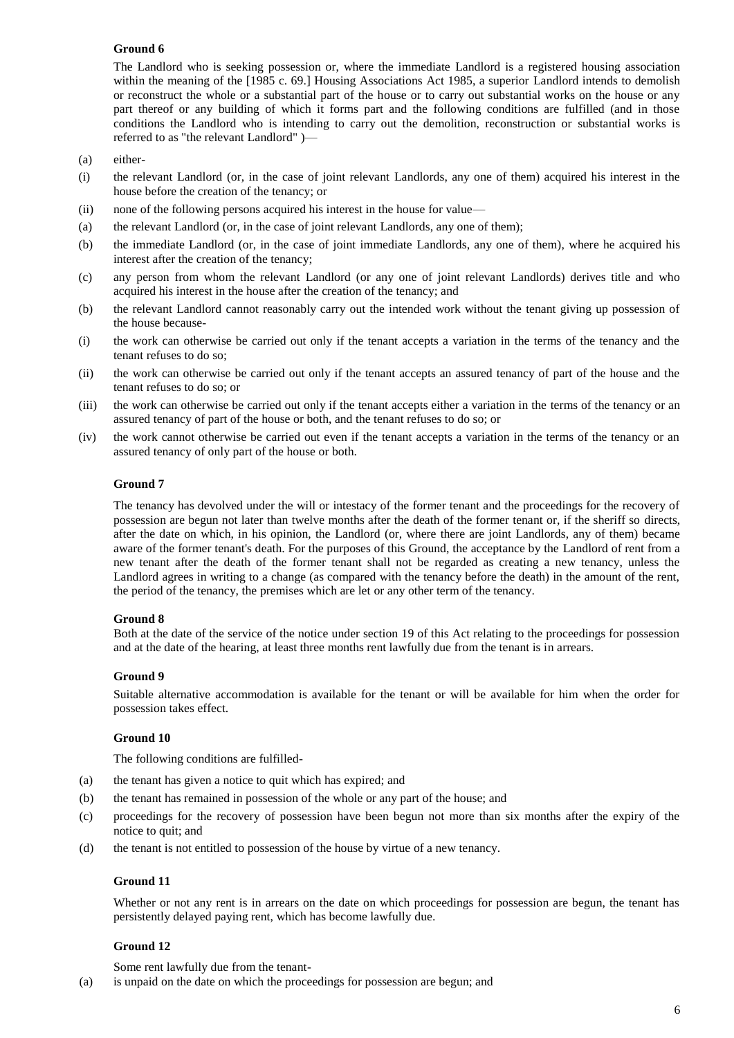## **Ground 6**

The Landlord who is seeking possession or, where the immediate Landlord is a registered housing association within the meaning of the [1985 c. 69.] Housing Associations Act 1985, a superior Landlord intends to demolish or reconstruct the whole or a substantial part of the house or to carry out substantial works on the house or any part thereof or any building of which it forms part and the following conditions are fulfilled (and in those conditions the Landlord who is intending to carry out the demolition, reconstruction or substantial works is referred to as "the relevant Landlord" )—

- (a) either-
- (i) the relevant Landlord (or, in the case of joint relevant Landlords, any one of them) acquired his interest in the house before the creation of the tenancy; or
- (ii) none of the following persons acquired his interest in the house for value—
- (a) the relevant Landlord (or, in the case of joint relevant Landlords, any one of them);
- (b) the immediate Landlord (or, in the case of joint immediate Landlords, any one of them), where he acquired his interest after the creation of the tenancy;
- (c) any person from whom the relevant Landlord (or any one of joint relevant Landlords) derives title and who acquired his interest in the house after the creation of the tenancy; and
- (b) the relevant Landlord cannot reasonably carry out the intended work without the tenant giving up possession of the house because-
- (i) the work can otherwise be carried out only if the tenant accepts a variation in the terms of the tenancy and the tenant refuses to do so;
- (ii) the work can otherwise be carried out only if the tenant accepts an assured tenancy of part of the house and the tenant refuses to do so; or
- (iii) the work can otherwise be carried out only if the tenant accepts either a variation in the terms of the tenancy or an assured tenancy of part of the house or both, and the tenant refuses to do so; or
- (iv) the work cannot otherwise be carried out even if the tenant accepts a variation in the terms of the tenancy or an assured tenancy of only part of the house or both.

#### **Ground 7**

The tenancy has devolved under the will or intestacy of the former tenant and the proceedings for the recovery of possession are begun not later than twelve months after the death of the former tenant or, if the sheriff so directs, after the date on which, in his opinion, the Landlord (or, where there are joint Landlords, any of them) became aware of the former tenant's death. For the purposes of this Ground, the acceptance by the Landlord of rent from a new tenant after the death of the former tenant shall not be regarded as creating a new tenancy, unless the Landlord agrees in writing to a change (as compared with the tenancy before the death) in the amount of the rent, the period of the tenancy, the premises which are let or any other term of the tenancy.

### **Ground 8**

Both at the date of the service of the notice under section 19 of this Act relating to the proceedings for possession and at the date of the hearing, at least three months rent lawfully due from the tenant is in arrears.

#### **Ground 9**

Suitable alternative accommodation is available for the tenant or will be available for him when the order for possession takes effect.

#### **Ground 10**

The following conditions are fulfilled-

- (a) the tenant has given a notice to quit which has expired; and
- (b) the tenant has remained in possession of the whole or any part of the house; and
- (c) proceedings for the recovery of possession have been begun not more than six months after the expiry of the notice to quit; and
- (d) the tenant is not entitled to possession of the house by virtue of a new tenancy.

### **Ground 11**

Whether or not any rent is in arrears on the date on which proceedings for possession are begun, the tenant has persistently delayed paying rent, which has become lawfully due.

#### **Ground 12**

Some rent lawfully due from the tenant-

(a) is unpaid on the date on which the proceedings for possession are begun; and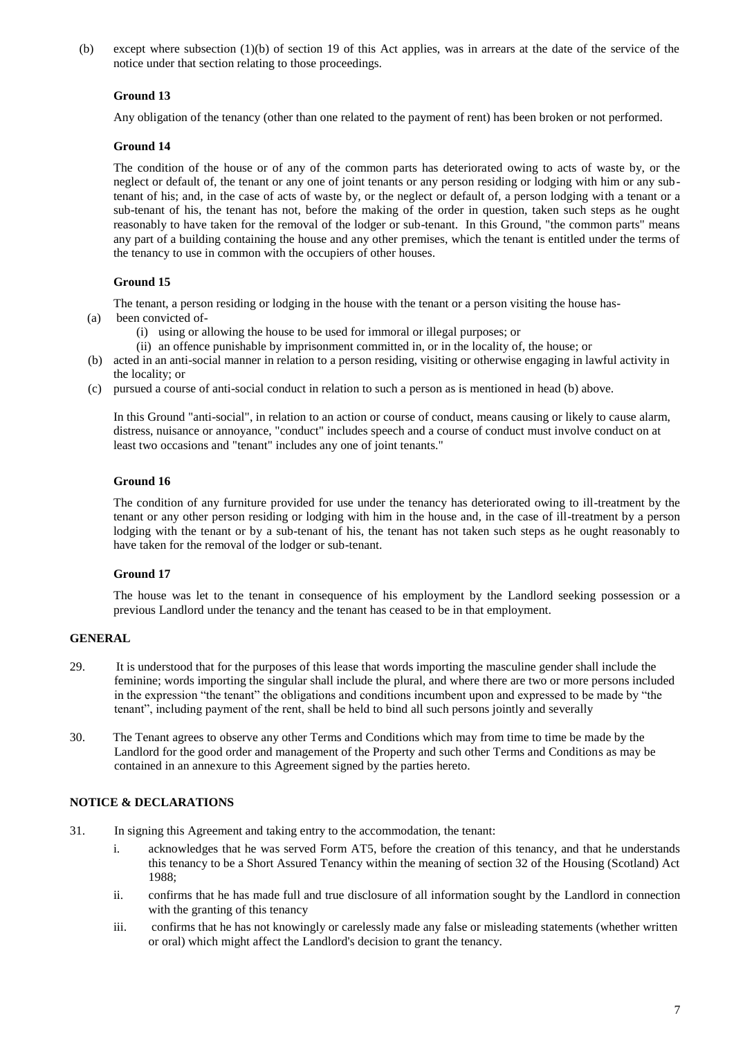(b) except where subsection  $(1)(b)$  of section 19 of this Act applies, was in arrears at the date of the service of the notice under that section relating to those proceedings.

# **Ground 13**

Any obligation of the tenancy (other than one related to the payment of rent) has been broken or not performed.

## **Ground 14**

The condition of the house or of any of the common parts has deteriorated owing to acts of waste by, or the neglect or default of, the tenant or any one of joint tenants or any person residing or lodging with him or any subtenant of his; and, in the case of acts of waste by, or the neglect or default of, a person lodging with a tenant or a sub-tenant of his, the tenant has not, before the making of the order in question, taken such steps as he ought reasonably to have taken for the removal of the lodger or sub-tenant. In this Ground, "the common parts" means any part of a building containing the house and any other premises, which the tenant is entitled under the terms of the tenancy to use in common with the occupiers of other houses.

### **Ground 15**

The tenant, a person residing or lodging in the house with the tenant or a person visiting the house has- (a) been convicted of-

- (i) using or allowing the house to be used for immoral or illegal purposes; or
- (ii) an offence punishable by imprisonment committed in, or in the locality of, the house; or
- (b) acted in an anti-social manner in relation to a person residing, visiting or otherwise engaging in lawful activity in the locality; or
- (c) pursued a course of anti-social conduct in relation to such a person as is mentioned in head (b) above.

In this Ground "anti-social", in relation to an action or course of conduct, means causing or likely to cause alarm, distress, nuisance or annoyance, "conduct" includes speech and a course of conduct must involve conduct on at least two occasions and "tenant" includes any one of joint tenants."

### **Ground 16**

The condition of any furniture provided for use under the tenancy has deteriorated owing to ill-treatment by the tenant or any other person residing or lodging with him in the house and, in the case of ill-treatment by a person lodging with the tenant or by a sub-tenant of his, the tenant has not taken such steps as he ought reasonably to have taken for the removal of the lodger or sub-tenant.

### **Ground 17**

The house was let to the tenant in consequence of his employment by the Landlord seeking possession or a previous Landlord under the tenancy and the tenant has ceased to be in that employment.

### **GENERAL**

- 29. It is understood that for the purposes of this lease that words importing the masculine gender shall include the feminine; words importing the singular shall include the plural, and where there are two or more persons included in the expression "the tenant" the obligations and conditions incumbent upon and expressed to be made by "the tenant‖, including payment of the rent, shall be held to bind all such persons jointly and severally
- 30. The Tenant agrees to observe any other Terms and Conditions which may from time to time be made by the Landlord for the good order and management of the Property and such other Terms and Conditions as may be contained in an annexure to this Agreement signed by the parties hereto.

### **NOTICE & DECLARATIONS**

- 31. In signing this Agreement and taking entry to the accommodation, the tenant:
	- i. acknowledges that he was served Form AT5, before the creation of this tenancy, and that he understands this tenancy to be a Short Assured Tenancy within the meaning of section 32 of the Housing (Scotland) Act 1988;
	- ii. confirms that he has made full and true disclosure of all information sought by the Landlord in connection with the granting of this tenancy
	- iii. confirms that he has not knowingly or carelessly made any false or misleading statements (whether written or oral) which might affect the Landlord's decision to grant the tenancy.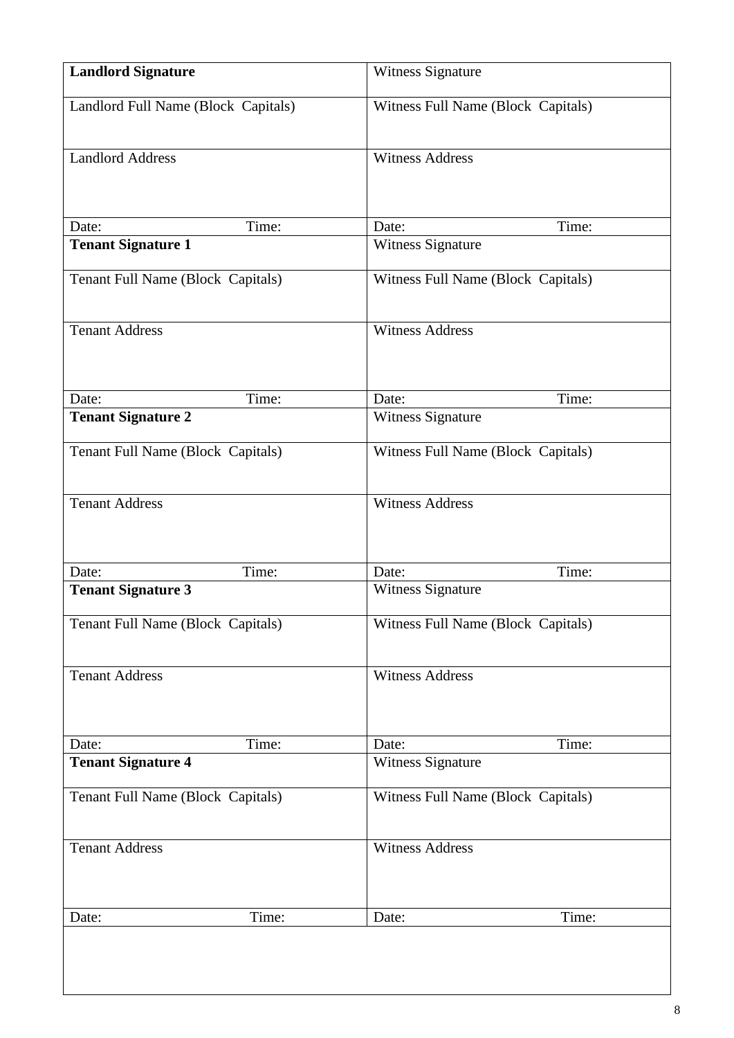| <b>Landlord Signature</b>           | Witness Signature                  |  |  |
|-------------------------------------|------------------------------------|--|--|
| Landlord Full Name (Block Capitals) | Witness Full Name (Block Capitals) |  |  |
| <b>Landlord Address</b>             | <b>Witness Address</b>             |  |  |
| Time:<br>Date:                      | Time:<br>Date:                     |  |  |
| <b>Tenant Signature 1</b>           | Witness Signature                  |  |  |
| Tenant Full Name (Block Capitals)   | Witness Full Name (Block Capitals) |  |  |
| <b>Tenant Address</b>               | <b>Witness Address</b>             |  |  |
| Time:<br>Date:                      | Time:<br>Date:                     |  |  |
| <b>Tenant Signature 2</b>           | Witness Signature                  |  |  |
| Tenant Full Name (Block Capitals)   | Witness Full Name (Block Capitals) |  |  |
| <b>Tenant Address</b>               | <b>Witness Address</b>             |  |  |
| Time:<br>Date:                      | Time:<br>Date:                     |  |  |
| <b>Tenant Signature 3</b>           | Witness Signature                  |  |  |
| Tenant Full Name (Block Capitals)   | Witness Full Name (Block Capitals) |  |  |
| <b>Tenant Address</b>               | <b>Witness Address</b>             |  |  |
| Time:<br>Date:                      | Time:<br>Date:                     |  |  |
| <b>Tenant Signature 4</b>           | Witness Signature                  |  |  |
| Tenant Full Name (Block Capitals)   | Witness Full Name (Block Capitals) |  |  |
| <b>Tenant Address</b>               | <b>Witness Address</b>             |  |  |
| Time:<br>Date:                      | Time:<br>Date:                     |  |  |
|                                     |                                    |  |  |